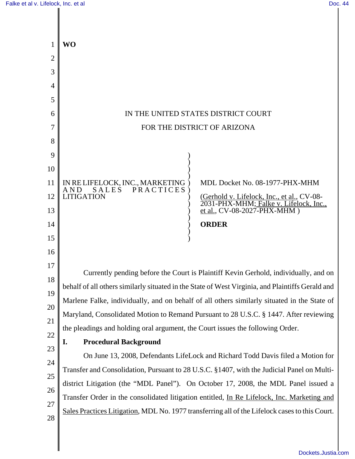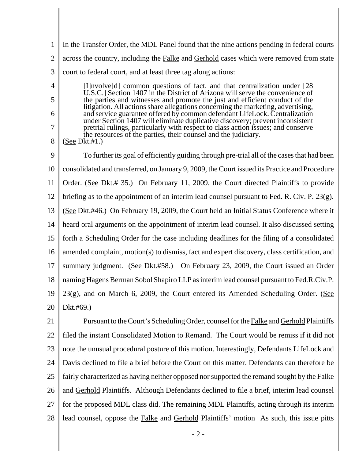1 2 3 In the Transfer Order, the MDL Panel found that the nine actions pending in federal courts across the country, including the **Falke** and **Gerhold** cases which were removed from state court to federal court, and at least three tag along actions:

[I]nvolve[d] common questions of fact, and that centralization under [28 U.S.C.] Section 1407 in the District of Arizona will serve the convenience of the parties and witnesses and promote the just and efficient conduct of the litigation. All actions share allegations concerning the marketing, advertising, and service guarantee offered by common defendant LifeLock. Centralization under Section 1407 will eliminate duplicative discovery; prevent inconsistent pretrial rulings, particularly with respect to class action issues; and conserve the resources of the parties, their counsel and the judiciary.

8 (See Dkt.#1.)

4

5

6

7

9 10 11 12 13 14 15 16 17 18 19 20 To further its goal of efficiently guiding through pre-trial all of the cases that had been consolidated and transferred, on January 9, 2009, the Court issued its Practice and Procedure Order. (See Dkt.# 35.) On February 11, 2009, the Court directed Plaintiffs to provide briefing as to the appointment of an interim lead counsel pursuant to Fed. R. Civ. P. 23(g). (See Dkt.#46.) On February 19, 2009, the Court held an Initial Status Conference where it heard oral arguments on the appointment of interim lead counsel. It also discussed setting forth a Scheduling Order for the case including deadlines for the filing of a consolidated amended complaint, motion(s) to dismiss, fact and expert discovery, class certification, and summary judgment. (See Dkt.#58.) On February 23, 2009, the Court issued an Order naming Hagens Berman Sobol Shapiro LLP as interim lead counsel pursuant to Fed.R.Civ.P.  $23(g)$ , and on March 6, 2009, the Court entered its Amended Scheduling Order. (See Dkt.#69.)

21 22 23 24 25 26 27 28 Pursuant to the Court's Scheduling Order, counsel for the Falke and Gerhold Plaintiffs filed the instant Consolidated Motion to Remand. The Court would be remiss if it did not note the unusual procedural posture of this motion. Interestingly, Defendants LifeLock and Davis declined to file a brief before the Court on this matter. Defendants can therefore be fairly characterized as having neither opposed nor supported the remand sought by the Falke and Gerhold Plaintiffs. Although Defendants declined to file a brief, interim lead counsel for the proposed MDL class did. The remaining MDL Plaintiffs, acting through its interim lead counsel, oppose the Falke and Gerhold Plaintiffs' motion As such, this issue pitts

- 2 -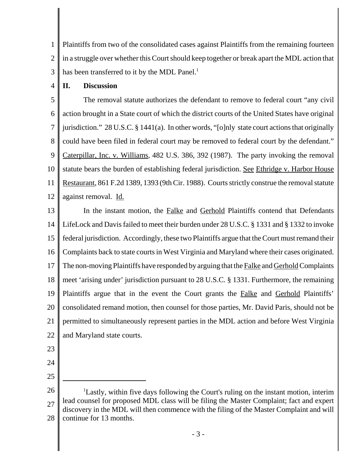1 2 3 Plaintiffs from two of the consolidated cases against Plaintiffs from the remaining fourteen in a struggle over whether this Court should keep together or break apart the MDL action that has been transferred to it by the MDL Panel.<sup>1</sup>

4 **II. Discussion**

5 6 7 8 9 10 11 12 The removal statute authorizes the defendant to remove to federal court "any civil action brought in a State court of which the district courts of the United States have original jurisdiction." 28 U.S.C. § 1441(a). In other words, "[o]nly state court actions that originally could have been filed in federal court may be removed to federal court by the defendant." Caterpillar, Inc. v. Williams, 482 U.S. 386, 392 (1987). The party invoking the removal statute bears the burden of establishing federal jurisdiction. See Ethridge v. Harbor House Restaurant, 861 F.2d 1389, 1393 (9th Cir. 1988). Courts strictly construe the removal statute against removal. Id.

13 14 15 16 17 18 19 20 21 22 In the instant motion, the Falke and Gerhold Plaintiffs contend that Defendants LifeLock and Davis failed to meet their burden under 28 U.S.C. § 1331 and § 1332 to invoke federal jurisdiction. Accordingly, these two Plaintiffs argue that the Court must remand their Complaints back to state courts in West Virginia and Maryland where their cases originated. The non-moving Plaintiffs have responded by arguing that the Falke and Gerhold Complaints meet 'arising under' jurisdiction pursuant to 28 U.S.C. § 1331. Furthermore, the remaining Plaintiffs argue that in the event the Court grants the Falke and Gerhold Plaintiffs' consolidated remand motion, then counsel for those parties, Mr. David Paris, should not be permitted to simultaneously represent parties in the MDL action and before West Virginia and Maryland state courts.

- 23
- 24 25

<sup>26</sup> 27 28 <sup>1</sup>Lastly, within five days following the Court's ruling on the instant motion, interim lead counsel for proposed MDL class will be filing the Master Complaint; fact and expert discovery in the MDL will then commence with the filing of the Master Complaint and will continue for 13 months.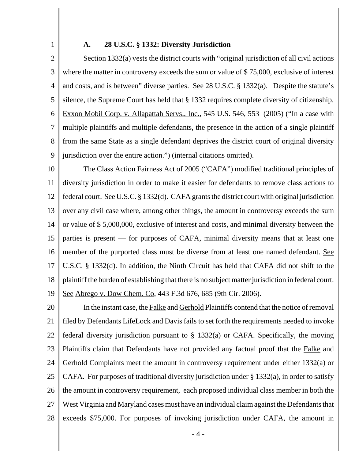1

#### **A. 28 U.S.C. § 1332: Diversity Jurisdiction**

2 3 4 5 6 7 8 9 Section 1332(a) vests the district courts with "original jurisdiction of all civil actions where the matter in controversy exceeds the sum or value of \$75,000, exclusive of interest and costs, and is between" diverse parties. See 28 U.S.C. § 1332(a). Despite the statute's silence, the Supreme Court has held that § 1332 requires complete diversity of citizenship. Exxon Mobil Corp. v. Allapattah Servs., Inc., 545 U.S. 546, 553 (2005) ("In a case with multiple plaintiffs and multiple defendants, the presence in the action of a single plaintiff from the same State as a single defendant deprives the district court of original diversity jurisdiction over the entire action.") (internal citations omitted).

10 11 12 13 14 15 16 17 18 19 The Class Action Fairness Act of 2005 ("CAFA") modified traditional principles of diversity jurisdiction in order to make it easier for defendants to remove class actions to federal court. <u>See</u> U.S.C. § 1332(d). CAFA grants the district court with original jurisdiction over any civil case where, among other things, the amount in controversy exceeds the sum or value of \$ 5,000,000, exclusive of interest and costs, and minimal diversity between the parties is present — for purposes of CAFA, minimal diversity means that at least one member of the purported class must be diverse from at least one named defendant. See U.S.C. § 1332(d). In addition, the Ninth Circuit has held that CAFA did not shift to the plaintiff the burden of establishing that there is no subject matter jurisdiction in federal court. See Abrego v. Dow Chem. Co, 443 F.3d 676, 685 (9th Cir. 2006).

20 21 22 23 24 25 26 27 28 In the instant case, the Falke and Gerhold Plaintiffs contend that the notice of removal filed by Defendants LifeLock and Davis fails to set forth the requirements needed to invoke federal diversity jurisdiction pursuant to § 1332(a) or CAFA. Specifically, the moving Plaintiffs claim that Defendants have not provided any factual proof that the Falke and Gerhold Complaints meet the amount in controversy requirement under either 1332(a) or CAFA. For purposes of traditional diversity jurisdiction under § 1332(a), in order to satisfy the amount in controversy requirement, each proposed individual class member in both the West Virginia and Maryland cases must have an individual claim against the Defendants that exceeds \$75,000. For purposes of invoking jurisdiction under CAFA, the amount in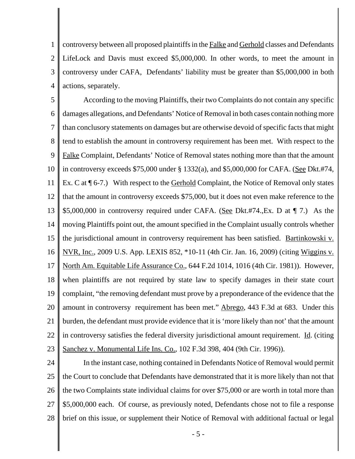1 2 3 4 controversy between all proposed plaintiffs in the Falke and Gerhold classes and Defendants LifeLock and Davis must exceed \$5,000,000. In other words, to meet the amount in controversy under CAFA, Defendants' liability must be greater than \$5,000,000 in both actions, separately.

5 6 7 8 9 10 11 12 13 14 15 16 17 18 19 20 21 22 23 According to the moving Plaintiffs, their two Complaints do not contain any specific damages allegations, and Defendants' Notice of Removal in both cases contain nothing more than conclusory statements on damages but are otherwise devoid of specific facts that might tend to establish the amount in controversy requirement has been met. With respect to the Falke Complaint, Defendants' Notice of Removal states nothing more than that the amount in controversy exceeds \$75,000 under § 1332(a), and \$5,000,000 for CAFA. (See Dkt.#74, Ex. C at  $\P$  6-7.) With respect to the Gerhold Complaint, the Notice of Removal only states that the amount in controversy exceeds \$75,000, but it does not even make reference to the \$5,000,000 in controversy required under CAFA. (See Dkt.#74.,Ex. D at ¶ 7.) As the moving Plaintiffs point out, the amount specified in the Complaint usually controls whether the jurisdictional amount in controversy requirement has been satisfied. Bartinkowski v. NVR, Inc., 2009 U.S. App. LEXIS 852, \*10-11 (4th Cir. Jan. 16, 2009) (citing Wiggins v. North Am. Equitable Life Assurance Co., 644 F.2d 1014, 1016 (4th Cir. 1981)). However, when plaintiffs are not required by state law to specify damages in their state court complaint, "the removing defendant must prove by a preponderance of the evidence that the amount in controversy requirement has been met." Abrego, 443 F.3d at 683. Under this burden, the defendant must provide evidence that it is 'more likely than not' that the amount in controversy satisfies the federal diversity jurisdictional amount requirement. Id. (citing Sanchez v. Monumental Life Ins. Co., 102 F.3d 398, 404 (9th Cir. 1996)).

24 25 26 27 28 In the instant case, nothing contained in Defendants Notice of Removal would permit the Court to conclude that Defendants have demonstrated that it is more likely than not that the two Complaints state individual claims for over \$75,000 or are worth in total more than \$5,000,000 each. Of course, as previously noted, Defendants chose not to file a response brief on this issue, or supplement their Notice of Removal with additional factual or legal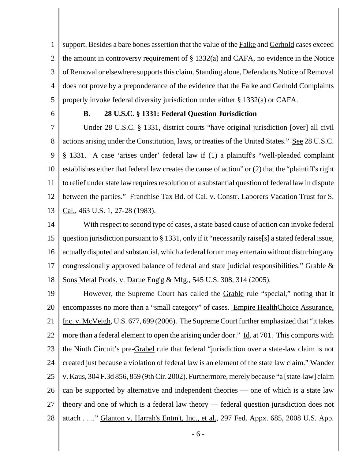1 2 3 4 5 support. Besides a bare bones assertion that the value of the Falke and Gerhold cases exceed the amount in controversy requirement of § 1332(a) and CAFA, no evidence in the Notice of Removal or elsewhere supports this claim. Standing alone, Defendants Notice of Removal does not prove by a preponderance of the evidence that the Falke and Gerhold Complaints properly invoke federal diversity jurisdiction under either § 1332(a) or CAFA.

6

# **B. 28 U.S.C. § 1331: Federal Question Jurisdiction**

7 8 9 10 11 12 13 Under 28 U.S.C. § 1331, district courts "have original jurisdiction [over] all civil actions arising under the Constitution, laws, or treaties of the United States." See 28 U.S.C. § 1331. A case 'arises under' federal law if (1) a plaintiff's "well-pleaded complaint establishes either that federal law creates the cause of action" or (2) that the "plaintiff's right to relief under state law requires resolution of a substantial question of federal law in dispute between the parties." Franchise Tax Bd. of Cal. v. Constr. Laborers Vacation Trust for S. Cal., 463 U.S. 1, 27-28 (1983).

14 15 16 17 18 With respect to second type of cases, a state based cause of action can invoke federal question jurisdiction pursuant to § 1331, only if it "necessarily raise[s] a stated federal issue, actually disputed and substantial, which a federal forum may entertain without disturbing any congressionally approved balance of federal and state judicial responsibilities." Grable & Sons Metal Prods. v. Darue Eng'g & Mfg., 545 U.S. 308, 314 (2005).

19 20 21 22 23 24 25 26 27 28 However, the Supreme Court has called the Grable rule "special," noting that it encompasses no more than a "small category" of cases. Empire HealthChoice Assurance, Inc. v. McVeigh, U.S. 677, 699 (2006). The Supreme Court further emphasized that "it takes more than a federal element to open the arising under door." Id. at 701. This comports with the Ninth Circuit's pre-Grabel rule that federal "jurisdiction over a state-law claim is not created just because a violation of federal law is an element of the state law claim." Wander v. Kaus, 304 F.3d 856, 859 (9th Cir. 2002). Furthermore, merely because "a [state-law] claim can be supported by alternative and independent theories — one of which is a state law theory and one of which is a federal law theory — federal question jurisdiction does not attach . . .." Glanton v. Harrah's Entm't, Inc., et al., 297 Fed. Appx. 685, 2008 U.S. App.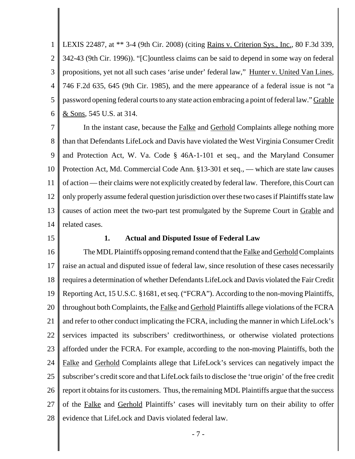1 2 3 4 5 6 LEXIS 22487, at \*\* 3-4 (9th Cir. 2008) (citing Rains v. Criterion Sys., Inc., 80 F.3d 339, 342-43 (9th Cir. 1996)). "[C]ountless claims can be said to depend in some way on federal propositions, yet not all such cases 'arise under' federal law," Hunter v. United Van Lines, 746 F.2d 635, 645 (9th Cir. 1985), and the mere appearance of a federal issue is not "a password opening federal courts to any state action embracing a point of federal law." Grable <u>& Sons</u>, 545 U.S. at 314.

7 8 9 10 11 12 13 14 In the instant case, because the Falke and Gerhold Complaints allege nothing more than that Defendants LifeLock and Davis have violated the West Virginia Consumer Credit and Protection Act, W. Va. Code § 46A-1-101 et seq., and the Maryland Consumer Protection Act, Md. Commercial Code Ann. §13-301 et seq., — which are state law causes of action — their claims were not explicitly created by federal law. Therefore, this Court can only properly assume federal question jurisdiction over these two cases if Plaintiffs state law causes of action meet the two-part test promulgated by the Supreme Court in Grable and related cases.

15

#### **1. Actual and Disputed Issue of Federal Law**

16 17 18 19 20 21 22 23 24 25 26 27 28 The MDL Plaintiffs opposing remand contend that the Falke and Gerhold Complaints raise an actual and disputed issue of federal law, since resolution of these cases necessarily requires a determination of whether Defendants LifeLock and Davis violated the Fair Credit Reporting Act, 15 U.S.C. §1681, et seq. ("FCRA"). According to the non-moving Plaintiffs, throughout both Complaints, the Falke and Gerhold Plaintiffs allege violations of the FCRA and refer to other conduct implicating the FCRA, including the manner in which LifeLock's services impacted its subscribers' creditworthiness, or otherwise violated protections afforded under the FCRA. For example, according to the non-moving Plaintiffs, both the Falke and Gerhold Complaints allege that LifeLock's services can negatively impact the subscriber's credit score and that LifeLock fails to disclose the 'true origin' of the free credit report it obtains for its customers. Thus, the remaining MDL Plaintiffs argue that the success of the Falke and Gerhold Plaintiffs' cases will inevitably turn on their ability to offer evidence that LifeLock and Davis violated federal law.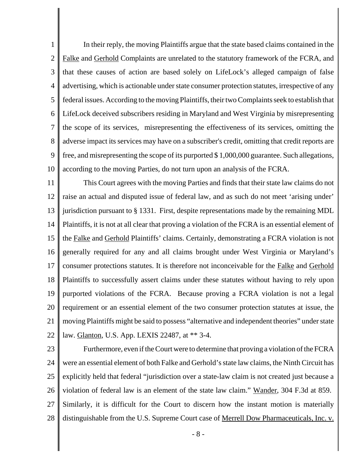1 2 3 4 5 6 7 8 9 10 In their reply, the moving Plaintiffs argue that the state based claims contained in the Falke and Gerhold Complaints are unrelated to the statutory framework of the FCRA, and that these causes of action are based solely on LifeLock's alleged campaign of false advertising, which is actionable under state consumer protection statutes, irrespective of any federal issues. According to the moving Plaintiffs, their two Complaints seek to establish that LifeLock deceived subscribers residing in Maryland and West Virginia by misrepresenting the scope of its services, misrepresenting the effectiveness of its services, omitting the adverse impact its services may have on a subscriber's credit, omitting that credit reports are free, and misrepresenting the scope of its purported \$ 1,000,000 guarantee. Such allegations, according to the moving Parties, do not turn upon an analysis of the FCRA.

11 12 13 14 15 16 17 18 19 20 21 22 This Court agrees with the moving Parties and finds that their state law claims do not raise an actual and disputed issue of federal law, and as such do not meet 'arising under' jurisdiction pursuant to § 1331. First, despite representations made by the remaining MDL Plaintiffs, it is not at all clear that proving a violation of the FCRA is an essential element of the Falke and Gerhold Plaintiffs' claims. Certainly, demonstrating a FCRA violation is not generally required for any and all claims brought under West Virginia or Maryland's consumer protections statutes. It is therefore not inconceivable for the Falke and Gerhold Plaintiffs to successfully assert claims under these statutes without having to rely upon purported violations of the FCRA. Because proving a FCRA violation is not a legal requirement or an essential element of the two consumer protection statutes at issue, the moving Plaintiffs might be said to possess "alternative and independent theories" under state law. Glanton, U.S. App. LEXIS 22487, at \*\* 3-4.

23

24 25 26 27 28 Furthermore, even if the Court were to determine that proving a violation of the FCRA were an essential element of both Falke and Gerhold's state law claims, the Ninth Circuit has explicitly held that federal "jurisdiction over a state-law claim is not created just because a violation of federal law is an element of the state law claim." Wander, 304 F.3d at 859. Similarly, it is difficult for the Court to discern how the instant motion is materially distinguishable from the U.S. Supreme Court case of <u>Merrell Dow Pharmaceuticals, Inc. v.</u>

- 8 -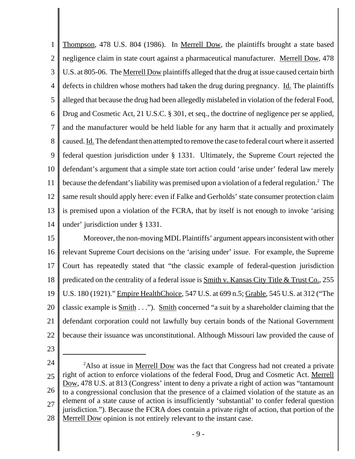1 2 3 4 5 6 7 8 9 10 11 12 13 14 Thompson, 478 U.S. 804 (1986). In Merrell Dow, the plaintiffs brought a state based negligence claim in state court against a pharmaceutical manufacturer. Merrell Dow, 478 U.S. at 805-06. The Merrell Dow plaintiffs alleged that the drug at issue caused certain birth defects in children whose mothers had taken the drug during pregnancy. Id. The plaintiffs alleged that because the drug had been allegedly mislabeled in violation of the federal Food, Drug and Cosmetic Act, 21 U.S.C. § 301, et seq., the doctrine of negligence per se applied, and the manufacturer would be held liable for any harm that it actually and proximately caused. Id. The defendant then attempted to remove the case to federal court where it asserted federal question jurisdiction under § 1331. Ultimately, the Supreme Court rejected the defendant's argument that a simple state tort action could 'arise under' federal law merely because the defendant's liability was premised upon a violation of a federal regulation.<sup>2</sup> The same result should apply here: even if Falke and Gerholds' state consumer protection claim is premised upon a violation of the FCRA, that by itself is not enough to invoke 'arising under' jurisdiction under § 1331.

15 16 17 18 19 20 21 22 Moreover, the non-moving MDL Plaintiffs' argument appears inconsistent with other relevant Supreme Court decisions on the 'arising under' issue. For example, the Supreme Court has repeatedly stated that "the classic example of federal-question jurisdiction predicated on the centrality of a federal issue is  $Smith v. Kansas City Title & Trust Co., 255$ U.S. 180 (1921)." Empire HealthChoice, 547 U.S. at 699 n.5; Grable, 545 U.S. at 312 ("The classic example is  $Smith \dots$ "). Smith concerned "a suit by a shareholder claiming that the defendant corporation could not lawfully buy certain bonds of the National Government because their issuance was unconstitutional. Although Missouri law provided the cause of

23

<sup>24</sup> 25 26 27 28 <sup>2</sup>Also at issue in <u>Merrell Dow</u> was the fact that Congress had not created a private right of action to enforce violations of the federal Food, Drug and Cosmetic Act. Merrell Dow, 478 U.S. at 813 (Congress' intent to deny a private a right of action was "tantamount to a congressional conclusion that the presence of a claimed violation of the statute as an element of a state cause of action is insufficiently 'substantial' to confer federal question jurisdiction."). Because the FCRA does contain a private right of action, that portion of the Merrell Dow opinion is not entirely relevant to the instant case.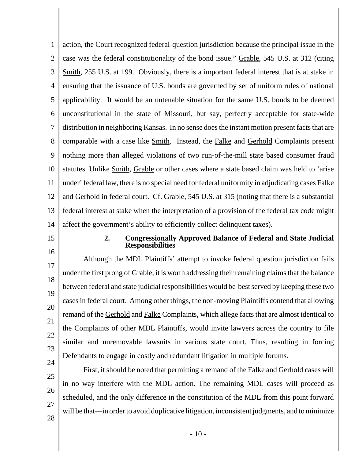1 2 3 4 5 6 7 8 9 10 11 12 13 14 action, the Court recognized federal-question jurisdiction because the principal issue in the case was the federal constitutionality of the bond issue." Grable, 545 U.S. at 312 (citing Smith, 255 U.S. at 199. Obviously, there is a important federal interest that is at stake in ensuring that the issuance of U.S. bonds are governed by set of uniform rules of national applicability. It would be an untenable situation for the same U.S. bonds to be deemed unconstitutional in the state of Missouri, but say, perfectly acceptable for state-wide distribution in neighboring Kansas. In no sense does the instant motion present facts that are comparable with a case like Smith. Instead, the Falke and Gerhold Complaints present nothing more than alleged violations of two run-of-the-mill state based consumer fraud statutes. Unlike Smith, Grable or other cases where a state based claim was held to 'arise under' federal law, there is no special need for federal uniformity in adjudicating cases Falke and Gerhold in federal court. Cf. Grable, 545 U.S. at 315 (noting that there is a substantial federal interest at stake when the interpretation of a provision of the federal tax code might affect the government's ability to efficiently collect delinquent taxes).

15

16

#### **2. Congressionally Approved Balance of Federal and State Judicial Responsibilities**

17 18 19 20 21 22 23 24 Although the MDL Plaintiffs' attempt to invoke federal question jurisdiction fails under the first prong of Grable, it is worth addressing their remaining claims that the balance between federal and state judicial responsibilities would be best served by keeping these two cases in federal court. Among other things, the non-moving Plaintiffs contend that allowing remand of the Gerhold and Falke Complaints, which allege facts that are almost identical to the Complaints of other MDL Plaintiffs, would invite lawyers across the country to file similar and unremovable lawsuits in various state court. Thus, resulting in forcing Defendants to engage in costly and redundant litigation in multiple forums.

25 26 27 28 First, it should be noted that permitting a remand of the Falke and Gerhold cases will in no way interfere with the MDL action. The remaining MDL cases will proceed as scheduled, and the only difference in the constitution of the MDL from this point forward will be that—in order to avoid duplicative litigation, inconsistent judgments, and to minimize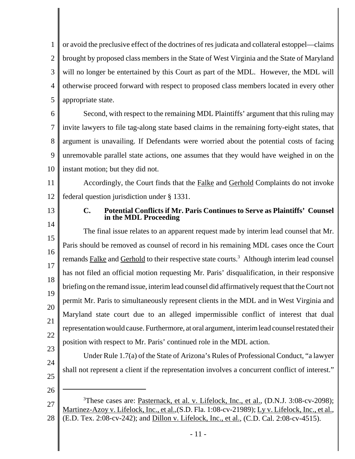1 2 3 4 5 or avoid the preclusive effect of the doctrines of res judicata and collateral estoppel—claims brought by proposed class members in the State of West Virginia and the State of Maryland will no longer be entertained by this Court as part of the MDL. However, the MDL will otherwise proceed forward with respect to proposed class members located in every other appropriate state.

6 7 8 9 10 Second, with respect to the remaining MDL Plaintiffs' argument that this ruling may invite lawyers to file tag-along state based claims in the remaining forty-eight states, that argument is unavailing. If Defendants were worried about the potential costs of facing unremovable parallel state actions, one assumes that they would have weighed in on the instant motion; but they did not.

11 12 Accordingly, the Court finds that the Falke and Gerhold Complaints do not invoke federal question jurisdiction under § 1331.

13

14

26

## **C. Potential Conflicts if Mr. Paris Continues to Serve as Plaintiffs' Counsel in the MDL Proceeding**

15 16 17 18 19 20 21 22 23 The final issue relates to an apparent request made by interim lead counsel that Mr. Paris should be removed as counsel of record in his remaining MDL cases once the Court remands Falke and Gerhold to their respective state courts.<sup>3</sup> Although interim lead counsel has not filed an official motion requesting Mr. Paris' disqualification, in their responsive briefing on the remand issue, interim lead counsel did affirmatively request that the Court not permit Mr. Paris to simultaneously represent clients in the MDL and in West Virginia and Maryland state court due to an alleged impermissible conflict of interest that dual representation would cause. Furthermore, at oral argument, interim lead counsel restated their position with respect to Mr. Paris' continued role in the MDL action.

24 25 Under Rule 1.7(a) of the State of Arizona's Rules of Professional Conduct, "a lawyer shall not represent a client if the representation involves a concurrent conflict of interest."

27 28 <sup>3</sup>These cases are: <u>Pasternack, et al. v. Lifelock, Inc., et al.</u>, (D.N.J. 3:08-cv-2098); Martinez-Azoy v. Lifelock, Inc., et al.,(S.D. Fla. 1:08-cv-21989); Ly v. Lifelock, Inc., et al., (E.D. Tex. 2:08-cv-242); and Dillon v. Lifelock, Inc., et al., (C.D. Cal. 2:08-cv-4515).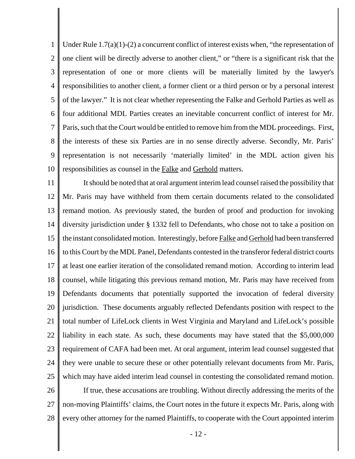1 2 3 4 5 6 7 8 9 10 Under Rule 1.7(a)(1)-(2) a concurrent conflict of interest exists when, "the representation of one client will be directly adverse to another client," or "there is a significant risk that the representation of one or more clients will be materially limited by the lawyer's responsibilities to another client, a former client or a third person or by a personal interest of the lawyer." It is not clear whether representing the Falke and Gerhold Parties as well as four additional MDL Parties creates an inevitable concurrent conflict of interest for Mr. Paris, such that the Court would be entitled to remove him from the MDL proceedings. First, the interests of these six Parties are in no sense directly adverse. Secondly, Mr. Paris' representation is not necessarily 'materially limited' in the MDL action given his responsibilities as counsel in the Falke and Gerhold matters.

11 12 13 14 15 16 17 18 19 20 21 22 23 24 25 26 It should be noted that at oral argument interim lead counsel raised the possibility that Mr. Paris may have withheld from them certain documents related to the consolidated remand motion. As previously stated, the burden of proof and production for invoking diversity jurisdiction under § 1332 fell to Defendants, who chose not to take a position on the instant consolidated motion. Interestingly, before Falke and Gerhold had been transferred to this Court by the MDL Panel, Defendants contested in the transferor federal district courts at least one earlier iteration of the consolidated remand motion. According to interim lead counsel, while litigating this previous remand motion, Mr. Paris may have received from Defendants documents that potentially supported the invocation of federal diversity jurisdiction. These documents arguably reflected Defendants position with respect to the total number of LifeLock clients in West Virginia and Maryland and LifeLock's possible liability in each state. As such, these documents may have stated that the \$5,000,000 requirement of CAFA had been met. At oral argument, interim lead counsel suggested that they were unable to secure these or other potentially relevant documents from Mr. Paris, which may have aided interim lead counsel in contesting the consolidated remand motion. If true, these accusations are troubling. Without directly addressing the merits of the

27 28 non-moving Plaintiffs' claims, the Court notes in the future it expects Mr. Paris, along with every other attorney for the named Plaintiffs, to cooperate with the Court appointed interim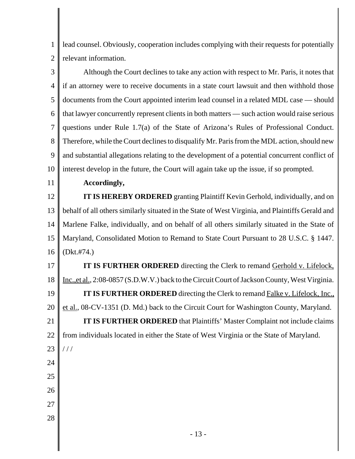1 2 lead counsel. Obviously, cooperation includes complying with their requests for potentially relevant information.

3 4 5 6 7 8 9 10 Although the Court declines to take any action with respect to Mr. Paris, it notes that if an attorney were to receive documents in a state court lawsuit and then withhold those documents from the Court appointed interim lead counsel in a related MDL case — should that lawyer concurrently represent clients in both matters — such action would raise serious questions under Rule 1.7(a) of the State of Arizona's Rules of Professional Conduct. Therefore, while the Court declines to disqualify Mr. Paris from the MDL action, should new and substantial allegations relating to the development of a potential concurrent conflict of interest develop in the future, the Court will again take up the issue, if so prompted.

11

### **Accordingly,**

12 13 14 15 16 **IT IS HEREBY ORDERED** granting Plaintiff Kevin Gerhold, individually, and on behalf of all others similarly situated in the State of West Virginia, and Plaintiffs Gerald and Marlene Falke, individually, and on behalf of all others similarly situated in the State of Maryland, Consolidated Motion to Remand to State Court Pursuant to 28 U.S.C. § 1447. (Dkt.#74.)

17 18 19 20 21 22 23 24 **IT IS FURTHER ORDERED** directing the Clerk to remand Gerhold v. Lifelock, Inc.,et al., 2:08-0857 (S.D.W.V.) back to the Circuit Court of Jackson County, West Virginia. **IT IS FURTHER ORDERED** directing the Clerk to remand Falke v. Lifelock, Inc., et al., 08-CV-1351 (D. Md.) back to the Circuit Court for Washington County, Maryland. **IT IS FURTHER ORDERED** that Plaintiffs' Master Complaint not include claims from individuals located in either the State of West Virginia or the State of Maryland.  $1/1$ 

- 25
- 26
- 27
- 28